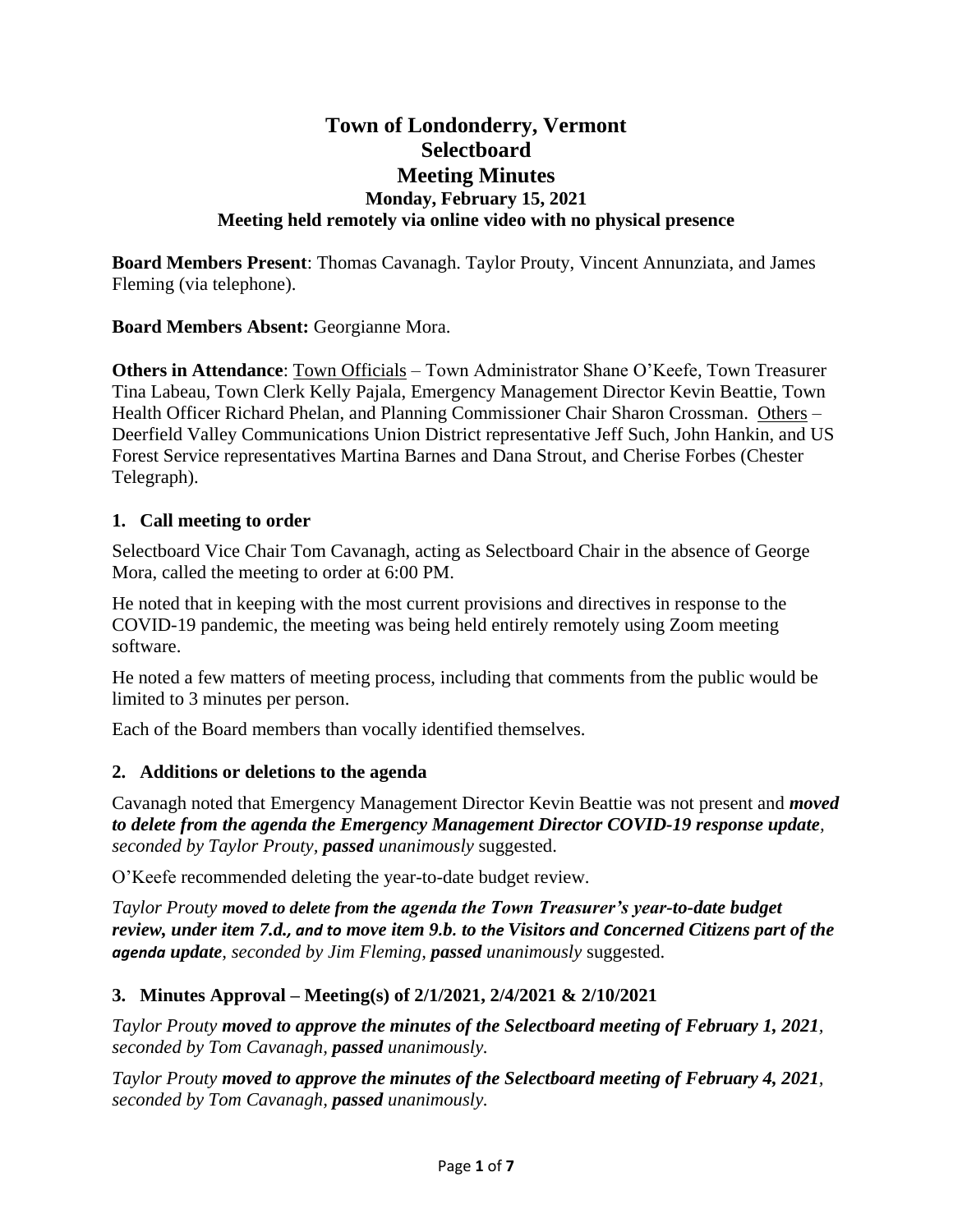# **Town of Londonderry, Vermont Selectboard Meeting Minutes Monday, February 15, 2021 Meeting held remotely via online video with no physical presence**

**Board Members Present**: Thomas Cavanagh. Taylor Prouty, Vincent Annunziata, and James Fleming (via telephone).

**Board Members Absent:** Georgianne Mora.

**Others in Attendance**: Town Officials – Town Administrator Shane O'Keefe, Town Treasurer Tina Labeau, Town Clerk Kelly Pajala, Emergency Management Director Kevin Beattie, Town Health Officer Richard Phelan, and Planning Commissioner Chair Sharon Crossman. Others – Deerfield Valley Communications Union District representative Jeff Such, John Hankin, and US Forest Service representatives Martina Barnes and Dana Strout, and Cherise Forbes (Chester Telegraph).

#### **1. Call meeting to order**

Selectboard Vice Chair Tom Cavanagh, acting as Selectboard Chair in the absence of George Mora, called the meeting to order at 6:00 PM.

He noted that in keeping with the most current provisions and directives in response to the COVID-19 pandemic, the meeting was being held entirely remotely using Zoom meeting software.

He noted a few matters of meeting process, including that comments from the public would be limited to 3 minutes per person.

Each of the Board members than vocally identified themselves.

### **2. Additions or deletions to the agenda**

Cavanagh noted that Emergency Management Director Kevin Beattie was not present and *moved to delete from the agenda the Emergency Management Director COVID-19 response update, seconded by Taylor Prouty, passed unanimously* suggested.

O'Keefe recommended deleting the year-to-date budget review.

*Taylor Prouty moved to delete from the agenda the Town Treasurer's year-to-date budget review, under item 7.d., and to move item 9.b. to the Visitors and Concerned Citizens part of the agenda update, seconded by Jim Fleming, passed unanimously* suggested.

### **3. Minutes Approval – Meeting(s) of 2/1/2021, 2/4/2021 & 2/10/2021**

*Taylor Prouty moved to approve the minutes of the Selectboard meeting of February 1, 2021, seconded by Tom Cavanagh, passed unanimously.*

*Taylor Prouty moved to approve the minutes of the Selectboard meeting of February 4, 2021, seconded by Tom Cavanagh, passed unanimously.*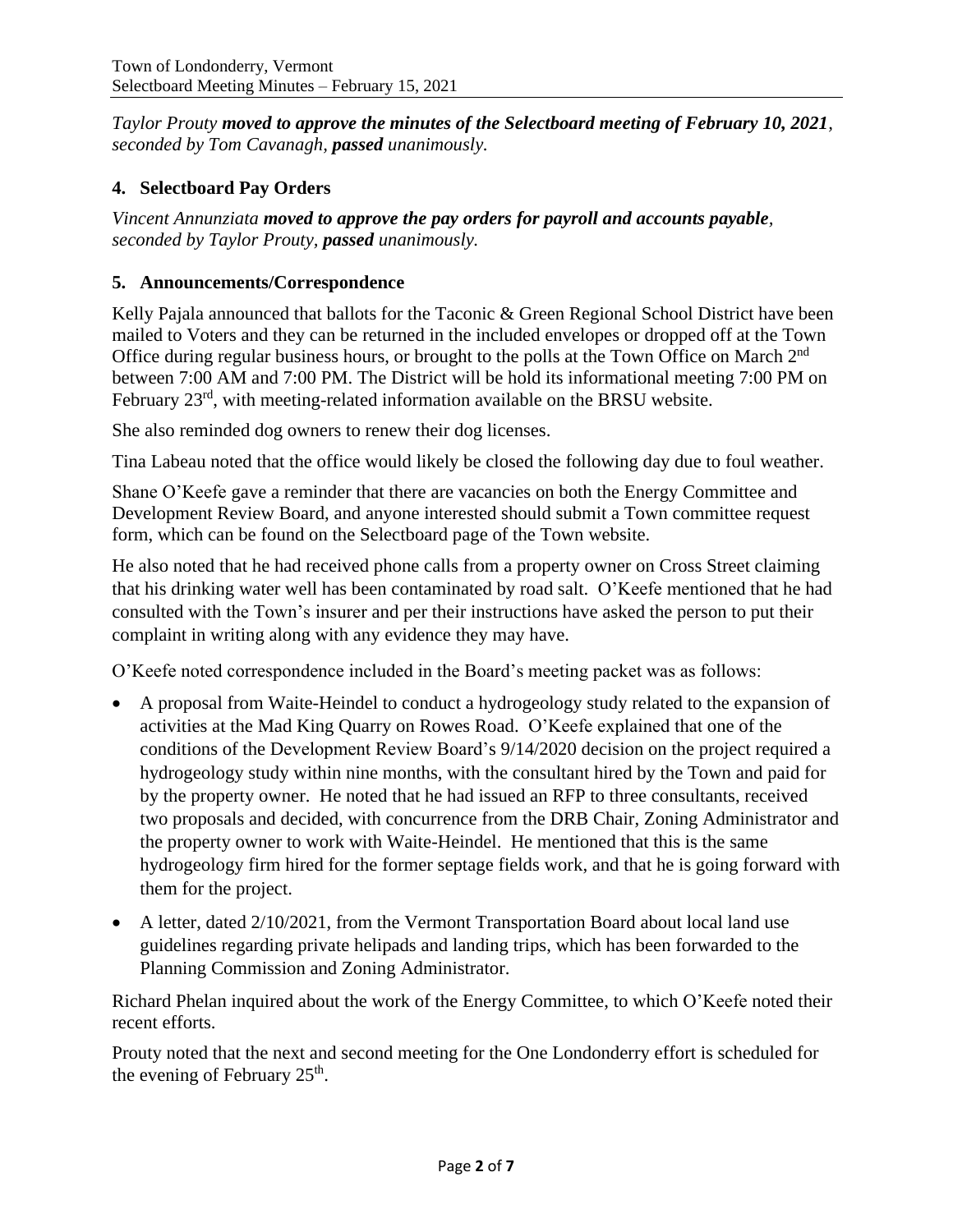*Taylor Prouty moved to approve the minutes of the Selectboard meeting of February 10, 2021, seconded by Tom Cavanagh, passed unanimously.*

# **4. Selectboard Pay Orders**

*Vincent Annunziata moved to approve the pay orders for payroll and accounts payable, seconded by Taylor Prouty, passed unanimously.*

## **5. Announcements/Correspondence**

Kelly Pajala announced that ballots for the Taconic & Green Regional School District have been mailed to Voters and they can be returned in the included envelopes or dropped off at the Town Office during regular business hours, or brought to the polls at the Town Office on March 2<sup>nd</sup> between 7:00 AM and 7:00 PM. The District will be hold its informational meeting 7:00 PM on February 23rd, with meeting-related information available on the BRSU website.

She also reminded dog owners to renew their dog licenses.

Tina Labeau noted that the office would likely be closed the following day due to foul weather.

Shane O'Keefe gave a reminder that there are vacancies on both the Energy Committee and Development Review Board, and anyone interested should submit a Town committee request form, which can be found on the Selectboard page of the Town website.

He also noted that he had received phone calls from a property owner on Cross Street claiming that his drinking water well has been contaminated by road salt. O'Keefe mentioned that he had consulted with the Town's insurer and per their instructions have asked the person to put their complaint in writing along with any evidence they may have.

O'Keefe noted correspondence included in the Board's meeting packet was as follows:

- A proposal from Waite-Heindel to conduct a hydrogeology study related to the expansion of activities at the Mad King Quarry on Rowes Road. O'Keefe explained that one of the conditions of the Development Review Board's 9/14/2020 decision on the project required a hydrogeology study within nine months, with the consultant hired by the Town and paid for by the property owner. He noted that he had issued an RFP to three consultants, received two proposals and decided, with concurrence from the DRB Chair, Zoning Administrator and the property owner to work with Waite-Heindel. He mentioned that this is the same hydrogeology firm hired for the former septage fields work, and that he is going forward with them for the project.
- A letter, dated 2/10/2021, from the Vermont Transportation Board about local land use guidelines regarding private helipads and landing trips, which has been forwarded to the Planning Commission and Zoning Administrator.

Richard Phelan inquired about the work of the Energy Committee, to which O'Keefe noted their recent efforts.

Prouty noted that the next and second meeting for the One Londonderry effort is scheduled for the evening of February  $25<sup>th</sup>$ .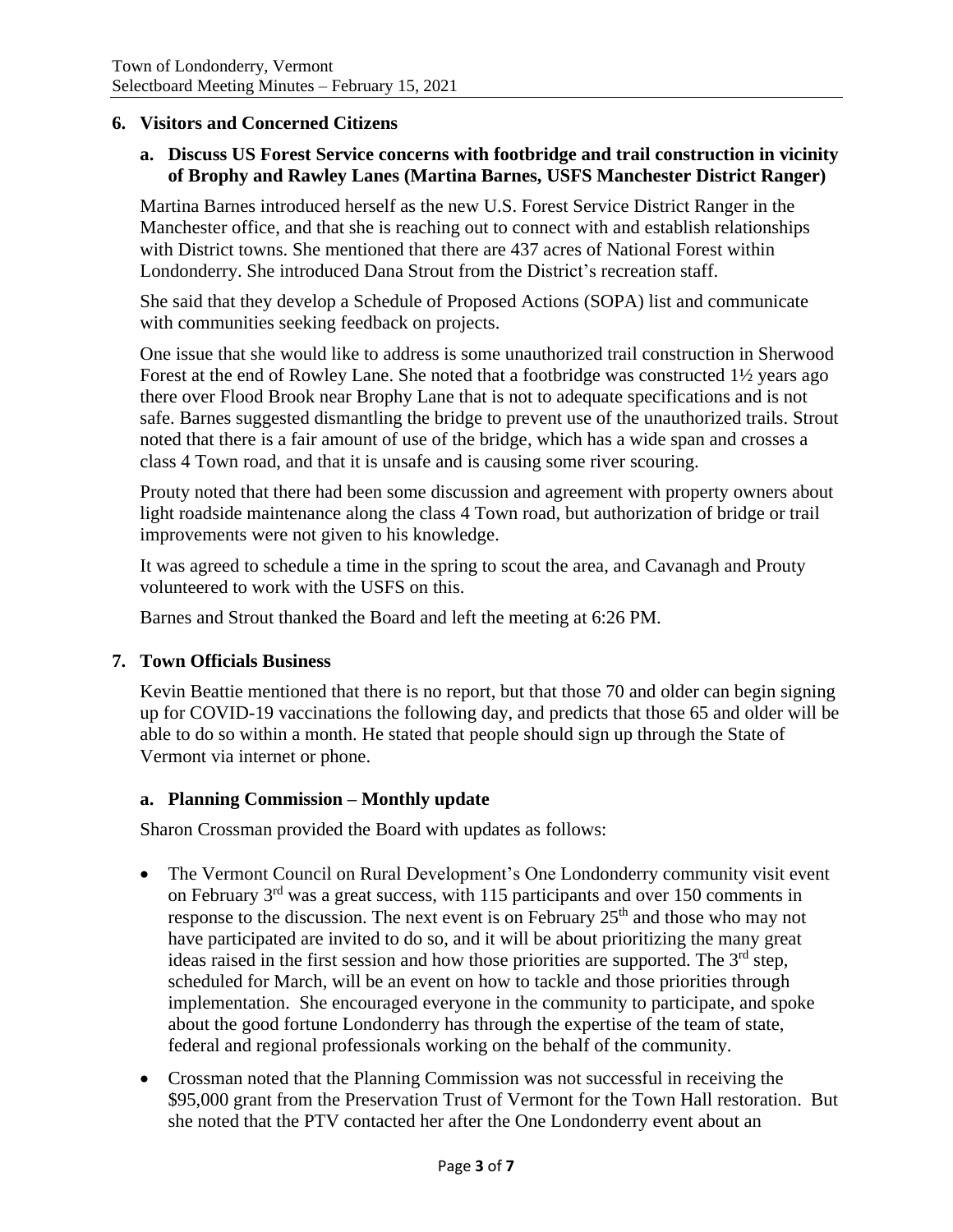#### **6. Visitors and Concerned Citizens**

#### **a. Discuss US Forest Service concerns with footbridge and trail construction in vicinity of Brophy and Rawley Lanes (Martina Barnes, USFS Manchester District Ranger)**

Martina Barnes introduced herself as the new U.S. Forest Service District Ranger in the Manchester office, and that she is reaching out to connect with and establish relationships with District towns. She mentioned that there are 437 acres of National Forest within Londonderry. She introduced Dana Strout from the District's recreation staff.

She said that they develop a Schedule of Proposed Actions (SOPA) list and communicate with communities seeking feedback on projects.

One issue that she would like to address is some unauthorized trail construction in Sherwood Forest at the end of Rowley Lane. She noted that a footbridge was constructed 1½ years ago there over Flood Brook near Brophy Lane that is not to adequate specifications and is not safe. Barnes suggested dismantling the bridge to prevent use of the unauthorized trails. Strout noted that there is a fair amount of use of the bridge, which has a wide span and crosses a class 4 Town road, and that it is unsafe and is causing some river scouring.

Prouty noted that there had been some discussion and agreement with property owners about light roadside maintenance along the class 4 Town road, but authorization of bridge or trail improvements were not given to his knowledge.

It was agreed to schedule a time in the spring to scout the area, and Cavanagh and Prouty volunteered to work with the USFS on this.

Barnes and Strout thanked the Board and left the meeting at 6:26 PM.

#### **7. Town Officials Business**

Kevin Beattie mentioned that there is no report, but that those 70 and older can begin signing up for COVID-19 vaccinations the following day, and predicts that those 65 and older will be able to do so within a month. He stated that people should sign up through the State of Vermont via internet or phone.

#### **a. Planning Commission – Monthly update**

Sharon Crossman provided the Board with updates as follows:

- The Vermont Council on Rural Development's One Londonderry community visit event on February 3rd was a great success, with 115 participants and over 150 comments in response to the discussion. The next event is on February  $25<sup>th</sup>$  and those who may not have participated are invited to do so, and it will be about prioritizing the many great ideas raised in the first session and how those priorities are supported. The  $3<sup>rd</sup>$  step, scheduled for March, will be an event on how to tackle and those priorities through implementation. She encouraged everyone in the community to participate, and spoke about the good fortune Londonderry has through the expertise of the team of state, federal and regional professionals working on the behalf of the community.
- Crossman noted that the Planning Commission was not successful in receiving the \$95,000 grant from the Preservation Trust of Vermont for the Town Hall restoration. But she noted that the PTV contacted her after the One Londonderry event about an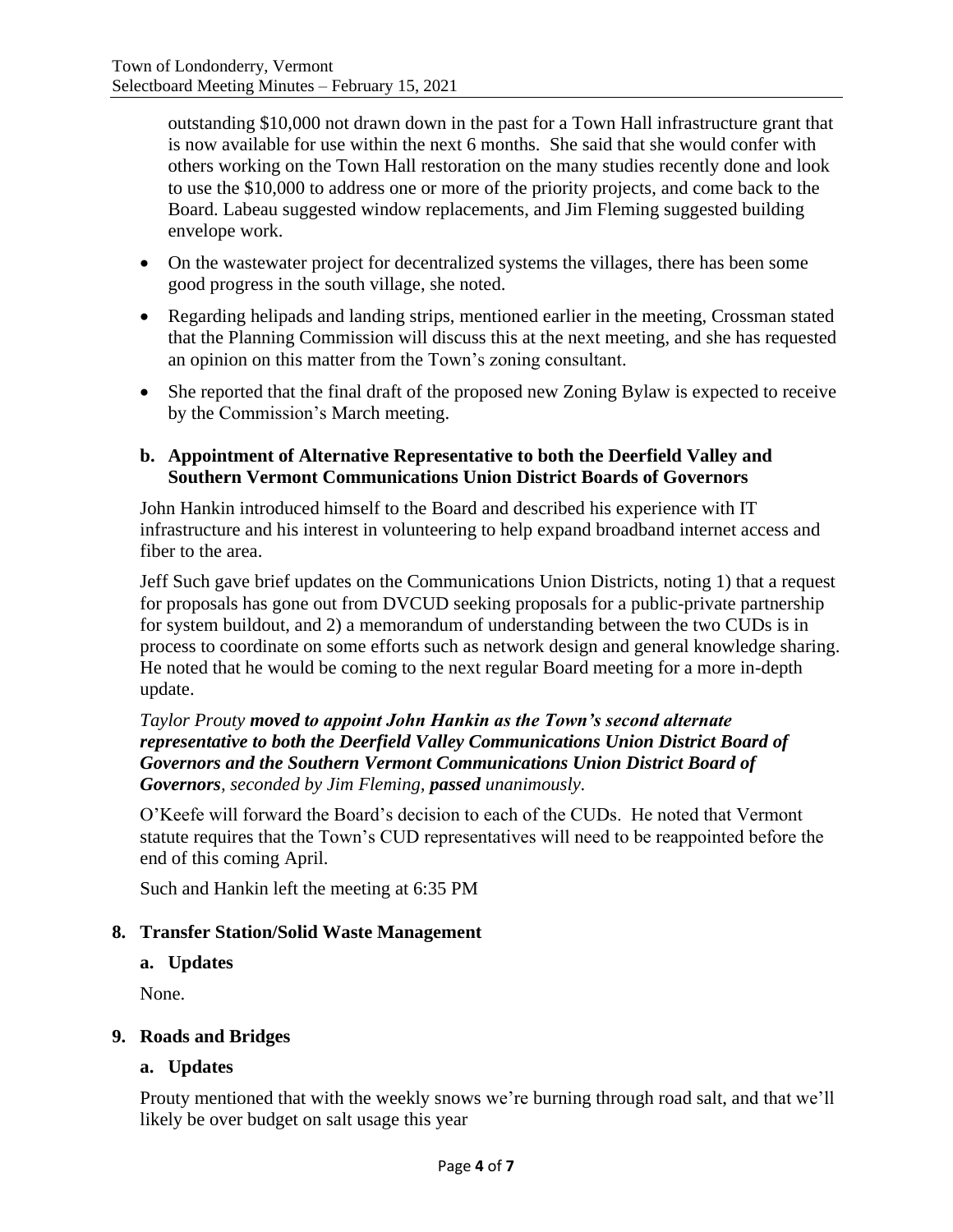outstanding \$10,000 not drawn down in the past for a Town Hall infrastructure grant that is now available for use within the next 6 months. She said that she would confer with others working on the Town Hall restoration on the many studies recently done and look to use the \$10,000 to address one or more of the priority projects, and come back to the Board. Labeau suggested window replacements, and Jim Fleming suggested building envelope work.

- On the wastewater project for decentralized systems the villages, there has been some good progress in the south village, she noted.
- Regarding helipads and landing strips, mentioned earlier in the meeting, Crossman stated that the Planning Commission will discuss this at the next meeting, and she has requested an opinion on this matter from the Town's zoning consultant.
- She reported that the final draft of the proposed new Zoning Bylaw is expected to receive by the Commission's March meeting.

#### **b. Appointment of Alternative Representative to both the Deerfield Valley and Southern Vermont Communications Union District Boards of Governors**

John Hankin introduced himself to the Board and described his experience with IT infrastructure and his interest in volunteering to help expand broadband internet access and fiber to the area.

Jeff Such gave brief updates on the Communications Union Districts, noting 1) that a request for proposals has gone out from DVCUD seeking proposals for a public-private partnership for system buildout, and 2) a memorandum of understanding between the two CUDs is in process to coordinate on some efforts such as network design and general knowledge sharing. He noted that he would be coming to the next regular Board meeting for a more in-depth update.

### *Taylor Prouty moved to appoint John Hankin as the Town's second alternate representative to both the Deerfield Valley Communications Union District Board of Governors and the Southern Vermont Communications Union District Board of Governors, seconded by Jim Fleming, passed unanimously.*

O'Keefe will forward the Board's decision to each of the CUDs. He noted that Vermont statute requires that the Town's CUD representatives will need to be reappointed before the end of this coming April.

Such and Hankin left the meeting at 6:35 PM

### **8. Transfer Station/Solid Waste Management**

### **a. Updates**

None.

### **9. Roads and Bridges**

### **a. Updates**

Prouty mentioned that with the weekly snows we're burning through road salt, and that we'll likely be over budget on salt usage this year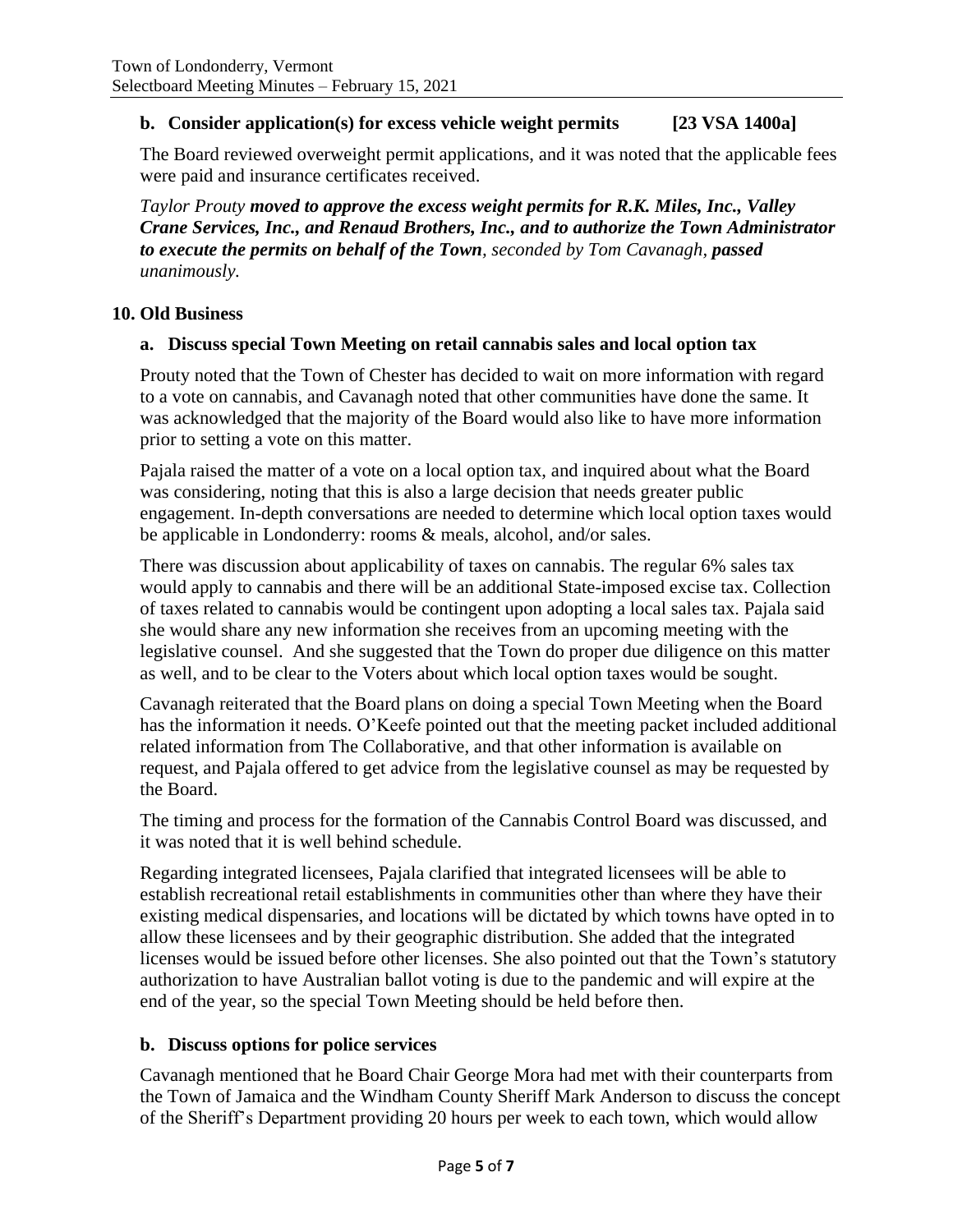## **b. Consider application(s) for excess vehicle weight permits [23 VSA 1400a]**

The Board reviewed overweight permit applications, and it was noted that the applicable fees were paid and insurance certificates received.

*Taylor Prouty moved to approve the excess weight permits for R.K. Miles, Inc., Valley Crane Services, Inc., and Renaud Brothers, Inc., and to authorize the Town Administrator to execute the permits on behalf of the Town, seconded by Tom Cavanagh, passed unanimously.*

#### **10. Old Business**

#### **a. Discuss special Town Meeting on retail cannabis sales and local option tax**

Prouty noted that the Town of Chester has decided to wait on more information with regard to a vote on cannabis, and Cavanagh noted that other communities have done the same. It was acknowledged that the majority of the Board would also like to have more information prior to setting a vote on this matter.

Pajala raised the matter of a vote on a local option tax, and inquired about what the Board was considering, noting that this is also a large decision that needs greater public engagement. In-depth conversations are needed to determine which local option taxes would be applicable in Londonderry: rooms & meals, alcohol, and/or sales.

There was discussion about applicability of taxes on cannabis. The regular 6% sales tax would apply to cannabis and there will be an additional State-imposed excise tax. Collection of taxes related to cannabis would be contingent upon adopting a local sales tax. Pajala said she would share any new information she receives from an upcoming meeting with the legislative counsel. And she suggested that the Town do proper due diligence on this matter as well, and to be clear to the Voters about which local option taxes would be sought.

Cavanagh reiterated that the Board plans on doing a special Town Meeting when the Board has the information it needs. O'Keefe pointed out that the meeting packet included additional related information from The Collaborative, and that other information is available on request, and Pajala offered to get advice from the legislative counsel as may be requested by the Board.

The timing and process for the formation of the Cannabis Control Board was discussed, and it was noted that it is well behind schedule.

Regarding integrated licensees, Pajala clarified that integrated licensees will be able to establish recreational retail establishments in communities other than where they have their existing medical dispensaries, and locations will be dictated by which towns have opted in to allow these licensees and by their geographic distribution. She added that the integrated licenses would be issued before other licenses. She also pointed out that the Town's statutory authorization to have Australian ballot voting is due to the pandemic and will expire at the end of the year, so the special Town Meeting should be held before then.

### **b. Discuss options for police services**

Cavanagh mentioned that he Board Chair George Mora had met with their counterparts from the Town of Jamaica and the Windham County Sheriff Mark Anderson to discuss the concept of the Sheriff's Department providing 20 hours per week to each town, which would allow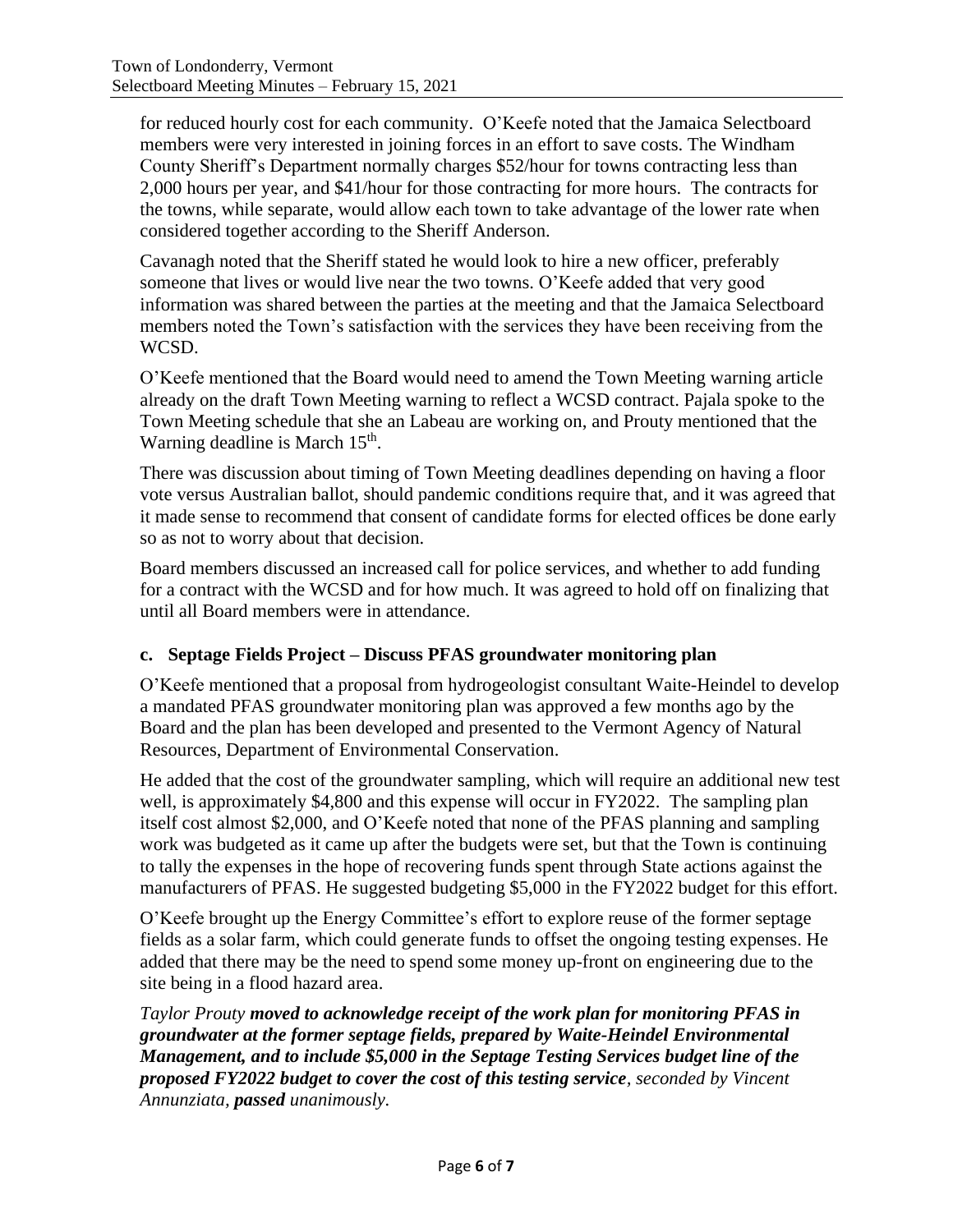for reduced hourly cost for each community. O'Keefe noted that the Jamaica Selectboard members were very interested in joining forces in an effort to save costs. The Windham County Sheriff's Department normally charges \$52/hour for towns contracting less than 2,000 hours per year, and \$41/hour for those contracting for more hours. The contracts for the towns, while separate, would allow each town to take advantage of the lower rate when considered together according to the Sheriff Anderson.

Cavanagh noted that the Sheriff stated he would look to hire a new officer, preferably someone that lives or would live near the two towns. O'Keefe added that very good information was shared between the parties at the meeting and that the Jamaica Selectboard members noted the Town's satisfaction with the services they have been receiving from the WCSD.

O'Keefe mentioned that the Board would need to amend the Town Meeting warning article already on the draft Town Meeting warning to reflect a WCSD contract. Pajala spoke to the Town Meeting schedule that she an Labeau are working on, and Prouty mentioned that the Warning deadline is March 15<sup>th</sup>.

There was discussion about timing of Town Meeting deadlines depending on having a floor vote versus Australian ballot, should pandemic conditions require that, and it was agreed that it made sense to recommend that consent of candidate forms for elected offices be done early so as not to worry about that decision.

Board members discussed an increased call for police services, and whether to add funding for a contract with the WCSD and for how much. It was agreed to hold off on finalizing that until all Board members were in attendance.

# **c. Septage Fields Project – Discuss PFAS groundwater monitoring plan**

O'Keefe mentioned that a proposal from hydrogeologist consultant Waite-Heindel to develop a mandated PFAS groundwater monitoring plan was approved a few months ago by the Board and the plan has been developed and presented to the Vermont Agency of Natural Resources, Department of Environmental Conservation.

He added that the cost of the groundwater sampling, which will require an additional new test well, is approximately \$4,800 and this expense will occur in FY2022. The sampling plan itself cost almost \$2,000, and O'Keefe noted that none of the PFAS planning and sampling work was budgeted as it came up after the budgets were set, but that the Town is continuing to tally the expenses in the hope of recovering funds spent through State actions against the manufacturers of PFAS. He suggested budgeting \$5,000 in the FY2022 budget for this effort.

O'Keefe brought up the Energy Committee's effort to explore reuse of the former septage fields as a solar farm, which could generate funds to offset the ongoing testing expenses. He added that there may be the need to spend some money up-front on engineering due to the site being in a flood hazard area.

*Taylor Prouty moved to acknowledge receipt of the work plan for monitoring PFAS in groundwater at the former septage fields, prepared by Waite-Heindel Environmental Management, and to include \$5,000 in the Septage Testing Services budget line of the proposed FY2022 budget to cover the cost of this testing service, seconded by Vincent Annunziata, passed unanimously.*